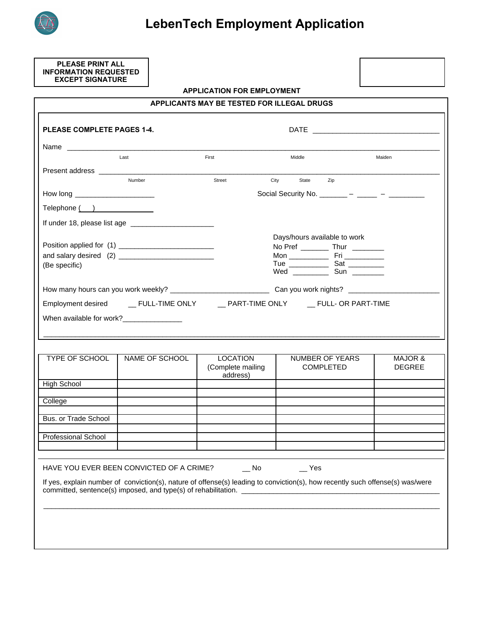

**PLEASE PRINT ALL INFORMATION REQUESTED EXCEPT SIGNATURE**

#### **APPLICATION FOR EMPLOYMENT**

| Last<br>First<br>Middle<br>Maiden<br>Number<br>Street<br>City<br>State<br>Zip<br>Social Security No. _______ - ____ - _____ -<br>How long ________________________<br>Telephone ( )<br>Days/hours available to work<br>No Pref _____________ Thur ___________<br>(Be specific)<br>Wed _______________ Sun ___________<br>When available for work?_________________<br><b>TYPE OF SCHOOL</b><br><b>LOCATION</b><br>NAME OF SCHOOL<br>NUMBER OF YEARS<br>(Complete mailing<br><b>COMPLETED</b><br>address)<br><b>High School</b><br>College<br>Bus, or Trade School<br><b>Professional School</b> |  |  |                          |
|-------------------------------------------------------------------------------------------------------------------------------------------------------------------------------------------------------------------------------------------------------------------------------------------------------------------------------------------------------------------------------------------------------------------------------------------------------------------------------------------------------------------------------------------------------------------------------------------------|--|--|--------------------------|
|                                                                                                                                                                                                                                                                                                                                                                                                                                                                                                                                                                                                 |  |  |                          |
|                                                                                                                                                                                                                                                                                                                                                                                                                                                                                                                                                                                                 |  |  |                          |
|                                                                                                                                                                                                                                                                                                                                                                                                                                                                                                                                                                                                 |  |  |                          |
|                                                                                                                                                                                                                                                                                                                                                                                                                                                                                                                                                                                                 |  |  |                          |
|                                                                                                                                                                                                                                                                                                                                                                                                                                                                                                                                                                                                 |  |  |                          |
|                                                                                                                                                                                                                                                                                                                                                                                                                                                                                                                                                                                                 |  |  |                          |
|                                                                                                                                                                                                                                                                                                                                                                                                                                                                                                                                                                                                 |  |  |                          |
|                                                                                                                                                                                                                                                                                                                                                                                                                                                                                                                                                                                                 |  |  |                          |
|                                                                                                                                                                                                                                                                                                                                                                                                                                                                                                                                                                                                 |  |  |                          |
|                                                                                                                                                                                                                                                                                                                                                                                                                                                                                                                                                                                                 |  |  |                          |
|                                                                                                                                                                                                                                                                                                                                                                                                                                                                                                                                                                                                 |  |  |                          |
|                                                                                                                                                                                                                                                                                                                                                                                                                                                                                                                                                                                                 |  |  | MAJOR &<br><b>DEGREE</b> |
|                                                                                                                                                                                                                                                                                                                                                                                                                                                                                                                                                                                                 |  |  |                          |
|                                                                                                                                                                                                                                                                                                                                                                                                                                                                                                                                                                                                 |  |  |                          |
|                                                                                                                                                                                                                                                                                                                                                                                                                                                                                                                                                                                                 |  |  |                          |
|                                                                                                                                                                                                                                                                                                                                                                                                                                                                                                                                                                                                 |  |  |                          |
|                                                                                                                                                                                                                                                                                                                                                                                                                                                                                                                                                                                                 |  |  |                          |
|                                                                                                                                                                                                                                                                                                                                                                                                                                                                                                                                                                                                 |  |  |                          |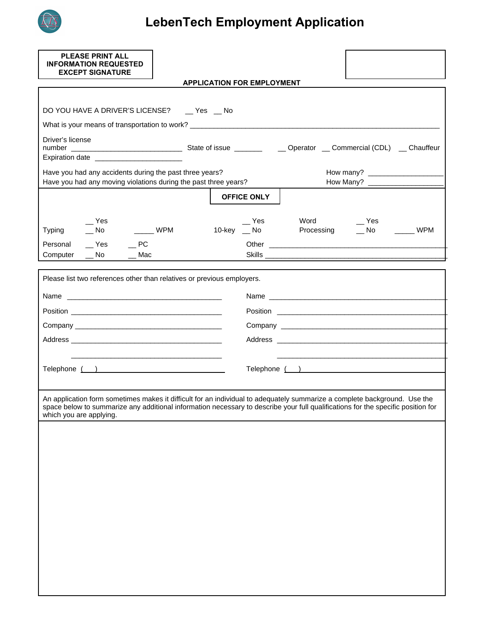

| <b>PLEASE PRINT ALL</b><br><b>INFORMATION REQUESTED</b><br><b>EXCEPT SIGNATURE</b>                                                                                                                                                                                                       |                                   |                                                   |
|------------------------------------------------------------------------------------------------------------------------------------------------------------------------------------------------------------------------------------------------------------------------------------------|-----------------------------------|---------------------------------------------------|
|                                                                                                                                                                                                                                                                                          | <b>APPLICATION FOR EMPLOYMENT</b> |                                                   |
|                                                                                                                                                                                                                                                                                          |                                   |                                                   |
| DO YOU HAVE A DRIVER'S LICENSE? __ Yes __ No                                                                                                                                                                                                                                             |                                   |                                                   |
| What is your means of transportation to work? __________________________________                                                                                                                                                                                                         |                                   |                                                   |
| Driver's license<br>Expiration date ________________________                                                                                                                                                                                                                             |                                   |                                                   |
| Have you had any accidents during the past three years?<br>Have you had any moving violations during the past three years?                                                                                                                                                               |                                   | How Many?                                         |
|                                                                                                                                                                                                                                                                                          | <b>OFFICE ONLY</b>                |                                                   |
| $\mathsf{L}$ Yes<br>$\frac{1}{2}$ WPM<br>Typing<br>$\overline{\phantom{0}}$ No                                                                                                                                                                                                           | Yes<br>10-key    __ No            | Word _______ Yes<br>Processing ___ No _______ WPM |
| $\sqrt{P}$ Yes $\sqrt{P}$ PC<br>Personal                                                                                                                                                                                                                                                 |                                   |                                                   |
| Computer<br>$\_\_$ No<br>$\overline{\phantom{a}}$ Mac                                                                                                                                                                                                                                    |                                   |                                                   |
| Please list two references other than relatives or previous employers.                                                                                                                                                                                                                   |                                   |                                                   |
|                                                                                                                                                                                                                                                                                          |                                   | Name                                              |
|                                                                                                                                                                                                                                                                                          |                                   |                                                   |
|                                                                                                                                                                                                                                                                                          |                                   |                                                   |
|                                                                                                                                                                                                                                                                                          |                                   |                                                   |
|                                                                                                                                                                                                                                                                                          |                                   |                                                   |
| Telephone ( )                                                                                                                                                                                                                                                                            |                                   | Telephone ( )                                     |
|                                                                                                                                                                                                                                                                                          |                                   |                                                   |
| An application form sometimes makes it difficult for an individual to adequately summarize a complete background. Use the<br>space below to summarize any additional information necessary to describe your full qualifications for the specific position for<br>which you are applying. |                                   |                                                   |
|                                                                                                                                                                                                                                                                                          |                                   |                                                   |
|                                                                                                                                                                                                                                                                                          |                                   |                                                   |
|                                                                                                                                                                                                                                                                                          |                                   |                                                   |
|                                                                                                                                                                                                                                                                                          |                                   |                                                   |
|                                                                                                                                                                                                                                                                                          |                                   |                                                   |
|                                                                                                                                                                                                                                                                                          |                                   |                                                   |
|                                                                                                                                                                                                                                                                                          |                                   |                                                   |
|                                                                                                                                                                                                                                                                                          |                                   |                                                   |
|                                                                                                                                                                                                                                                                                          |                                   |                                                   |
|                                                                                                                                                                                                                                                                                          |                                   |                                                   |
|                                                                                                                                                                                                                                                                                          |                                   |                                                   |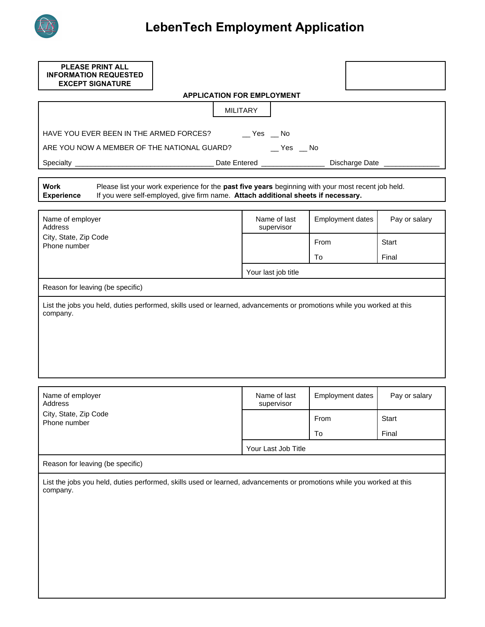

| <b>INFORMATION REQUESTED</b>                                                                                                                                                                                                                  |                                   |                         |               |
|-----------------------------------------------------------------------------------------------------------------------------------------------------------------------------------------------------------------------------------------------|-----------------------------------|-------------------------|---------------|
| <b>EXCEPT SIGNATURE</b>                                                                                                                                                                                                                       |                                   |                         |               |
|                                                                                                                                                                                                                                               | <b>APPLICATION FOR EMPLOYMENT</b> |                         |               |
|                                                                                                                                                                                                                                               | <b>MILITARY</b>                   |                         |               |
| HAVE YOU EVER BEEN IN THE ARMED FORCES? _______ Yes ___ No                                                                                                                                                                                    |                                   |                         |               |
| ARE YOU NOW A MEMBER OF THE NATIONAL GUARD? _________ Yes ___ No                                                                                                                                                                              |                                   |                         |               |
|                                                                                                                                                                                                                                               |                                   |                         |               |
| Work<br>Please list your work experience for the past five years beginning with your most recent job held.<br>If you were self-employed, give firm name. Attach additional sheets if necessary.<br><b>Experience</b>                          |                                   |                         |               |
| Name of employer<br><b>Address</b>                                                                                                                                                                                                            | Name of last<br>supervisor        | <b>Employment dates</b> | Pay or salary |
| City, State, Zip Code<br>Phone number                                                                                                                                                                                                         |                                   | From                    | <b>Start</b>  |
|                                                                                                                                                                                                                                               |                                   | To                      | Final         |
|                                                                                                                                                                                                                                               | Your last job title               |                         |               |
| Reason for leaving (be specific)                                                                                                                                                                                                              |                                   |                         |               |
|                                                                                                                                                                                                                                               |                                   |                         |               |
|                                                                                                                                                                                                                                               |                                   |                         |               |
|                                                                                                                                                                                                                                               | Name of last<br>supervisor        | <b>Employment dates</b> | Pay or salary |
|                                                                                                                                                                                                                                               |                                   | From                    | <b>Start</b>  |
|                                                                                                                                                                                                                                               |                                   | To                      | Final         |
|                                                                                                                                                                                                                                               | Your Last Job Title               |                         |               |
| List the jobs you held, duties performed, skills used or learned, advancements or promotions while you worked at this<br>company.<br>Name of employer<br>Address<br>City, State, Zip Code<br>Phone number<br>Reason for leaving (be specific) |                                   |                         |               |